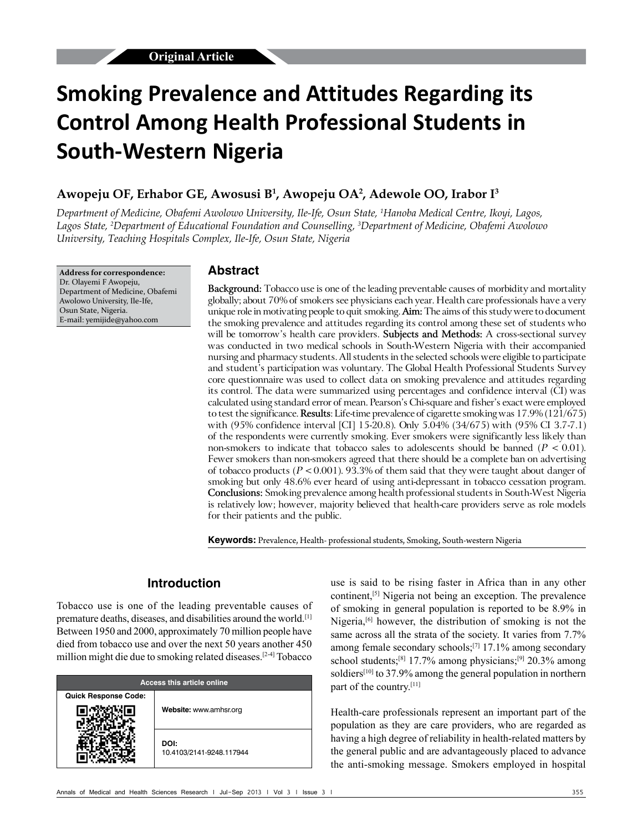# **Smoking Prevalence and Attitudes Regarding its Control Among Health Professional Students in South‑Western Nigeria**

### **Awopeju OF, Erhabor GE, Awosusi B1 , Awopeju OA2 , Adewole OO, Irabor I3**

*Department of Medicine, Obafemi Awolowo University, Ile‑Ife, Osun State, 1 Hanoba Medical Centre, Ikoyi, Lagos, Lagos State, 2 Department of Educational Foundation and Counselling, 3 Department of Medicine, Obafemi Awolowo University, Teaching Hospitals Complex, Ile‑Ife, Osun State, Nigeria*

**Address for correspondence:** Dr. Olayemi F Awopeju, Department of Medicine, Obafemi Awolowo University, Ile‑Ife, Osun State, Nigeria. E‑mail: yemijide@yahoo.com

### **Abstract**

**Background:** Tobacco use is one of the leading preventable causes of morbidity and mortality globally; about 70% of smokers see physicians each year. Health care professionals have a very unique role in motivating people to quit smoking. **Aim:** The aims of this study were to document the smoking prevalence and attitudes regarding its control among these set of students who will be tomorrow's health care providers. **Subjects and Methods:** A cross‑sectional survey was conducted in two medical schools in South-Western Nigeria with their accompanied nursing and pharmacy students. All students in the selected schools were eligible to participate and student's participation was voluntary. The Global Health Professional Students Survey core questionnaire was used to collect data on smoking prevalence and attitudes regarding its control. The data were summarized using percentages and confidence interval (CI) was calculated using standard error of mean. Pearson's Chi‑square and fisher's exact were employed to test the significance. **Results**: Life‑time prevalence of cigarette smoking was 17.9% (121/675) with (95% confidence interval [CI] 15-20.8). Only 5.04% (34/675) with (95% CI 3.7-7.1) of the respondents were currently smoking. Ever smokers were significantly less likely than non-smokers to indicate that tobacco sales to adolescents should be banned  $(P < 0.01)$ . Fewer smokers than non-smokers agreed that there should be a complete ban on advertising of tobacco products ( $P < 0.001$ ). 93.3% of them said that they were taught about danger of smoking but only 48.6% ever heard of using anti-depressant in tobacco cessation program. **Conclusions:** Smoking prevalence among health professional students in South‑West Nigeria is relatively low; however, majority believed that health-care providers serve as role models for their patients and the public.

**Keywords:** Prevalence, Health‑ professional students, Smoking, South-western Nigeria

# **Introduction**

Tobacco use is one of the leading preventable causes of premature deaths, diseases, and disabilities around the world.[1] Between 1950 and 2000, approximately 70 million people have died from tobacco use and over the next 50 years another 450 million might die due to smoking related diseases.[2‑4] Tobacco

| <b>Access this article online</b> |                                  |  |  |
|-----------------------------------|----------------------------------|--|--|
| <b>Quick Response Code:</b>       | Website: www.amhsr.org           |  |  |
|                                   | DOI:<br>10.4103/2141-9248.117944 |  |  |

use is said to be rising faster in Africa than in any other continent,[5] Nigeria not being an exception. The prevalence of smoking in general population is reported to be 8.9% in Nigeria,<sup>[6]</sup> however, the distribution of smoking is not the same across all the strata of the society. It varies from 7.7% among female secondary schools;[7] 17.1% among secondary school students;<sup>[8]</sup> 17.7% among physicians;<sup>[9]</sup> 20.3% among soldiers<sup>[10]</sup> to 37.9% among the general population in northern part of the country.<sup>[11]</sup>

Health-care professionals represent an important part of the population as they are care providers, who are regarded as having a high degree of reliability in health-related matters by the general public and are advantageously placed to advance the anti‑smoking message. Smokers employed in hospital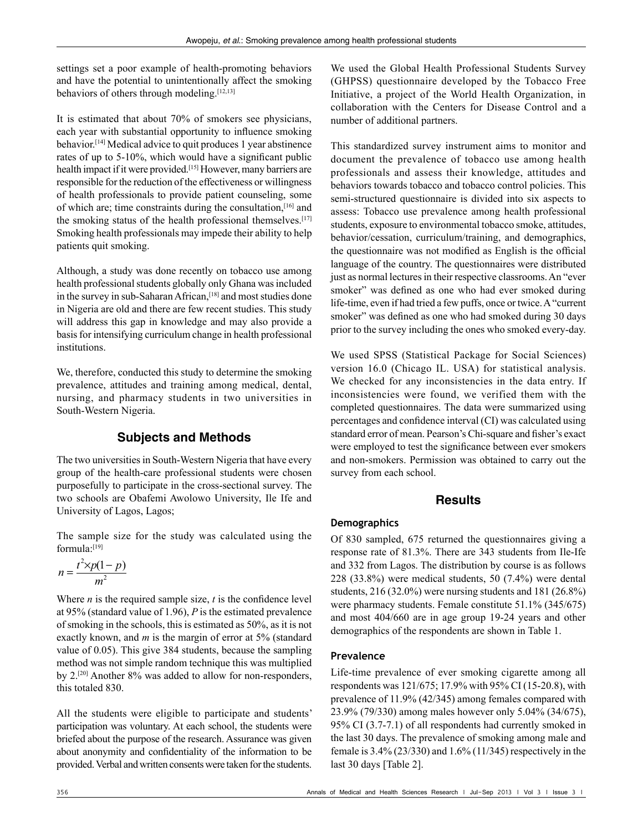settings set a poor example of health-promoting behaviors and have the potential to unintentionally affect the smoking behaviors of others through modeling.[12,13]

It is estimated that about 70% of smokers see physicians, each year with substantial opportunity to influence smoking behavior.<sup>[14]</sup> Medical advice to quit produces 1 year abstinence rates of up to 5-10%, which would have a significant public health impact if it were provided.<sup>[15]</sup> However, many barriers are responsible for the reduction of the effectiveness or willingness of health professionals to provide patient counseling, some of which are; time constraints during the consultation,[16] and the smoking status of the health professional themselves.<sup>[17]</sup> Smoking health professionals may impede their ability to help patients quit smoking.

Although, a study was done recently on tobacco use among health professional students globally only Ghana was included in the survey in sub-Saharan African,<sup>[18]</sup> and most studies done in Nigeria are old and there are few recent studies. This study will address this gap in knowledge and may also provide a basis for intensifying curriculum change in health professional institutions.

We, therefore, conducted this study to determine the smoking prevalence, attitudes and training among medical, dental, nursing, and pharmacy students in two universities in South‑Western Nigeria.

# **Subjects and Methods**

The two universities in South–Western Nigeria that have every group of the health-care professional students were chosen purposefully to participate in the cross‑sectional survey. The two schools are Obafemi Awolowo University, Ile Ife and University of Lagos, Lagos;

The sample size for the study was calculated using the formula:[19]

$$
n = \frac{t^2 \times p(1-p)}{m^2}
$$

Where  $n$  is the required sample size,  $t$  is the confidence level at 95% (standard value of 1.96), *P* is the estimated prevalence of smoking in the schools, this is estimated as 50%, as it is not exactly known, and *m* is the margin of error at 5% (standard value of 0.05). This give 384 students, because the sampling method was not simple random technique this was multiplied by 2.<sup>[20]</sup> Another 8% was added to allow for non-responders, this totaled 830.

All the students were eligible to participate and students' participation was voluntary. At each school, the students were briefed about the purpose of the research. Assurance was given about anonymity and confidentiality of the information to be provided. Verbal and written consents were taken for the students. We used the Global Health Professional Students Survey (GHPSS) questionnaire developed by the Tobacco Free Initiative, a project of the World Health Organization, in collaboration with the Centers for Disease Control and a number of additional partners.

This standardized survey instrument aims to monitor and document the prevalence of tobacco use among health professionals and assess their knowledge, attitudes and behaviors towards tobacco and tobacco control policies. This semi‑structured questionnaire is divided into six aspects to assess: Tobacco use prevalence among health professional students, exposure to environmental tobacco smoke, attitudes, behavior/cessation, curriculum/training, and demographics, the questionnaire was not modified as English is the official language of the country. The questionnaires were distributed just as normal lectures in their respective classrooms. An "ever smoker" was defined as one who had ever smoked during life-time, even if had tried a few puffs, once or twice. A "current smoker" was defined as one who had smoked during 30 days prior to the survey including the ones who smoked every‑day.

We used SPSS (Statistical Package for Social Sciences) version 16.0 (Chicago IL. USA) for statistical analysis. We checked for any inconsistencies in the data entry. If inconsistencies were found, we verified them with the completed questionnaires. The data were summarized using percentages and confidence interval (CI) was calculated using standard error of mean. Pearson's Chi‑square and fisher's exact were employed to test the significance between ever smokers and non‑smokers. Permission was obtained to carry out the survey from each school.

## **Results**

#### **Demographics**

Of 830 sampled, 675 returned the questionnaires giving a response rate of 81.3%. There are 343 students from Ile-Ife and 332 from Lagos. The distribution by course is as follows 228 (33.8%) were medical students, 50 (7.4%) were dental students, 216 (32.0%) were nursing students and 181 (26.8%) were pharmacy students. Female constitute 51.1% (345/675) and most 404/660 are in age group 19‑24 years and other demographics of the respondents are shown in Table 1.

#### **Prevalence**

Life-time prevalence of ever smoking cigarette among all respondents was 121/675; 17.9% with 95% CI (15‑20.8), with prevalence of 11.9% (42/345) among females compared with 23.9% (79/330) among males however only 5.04% (34/675), 95% CI (3.7‑7.1) of all respondents had currently smoked in the last 30 days. The prevalence of smoking among male and female is 3.4% (23/330) and 1.6% (11/345) respectively in the last 30 days [Table 2].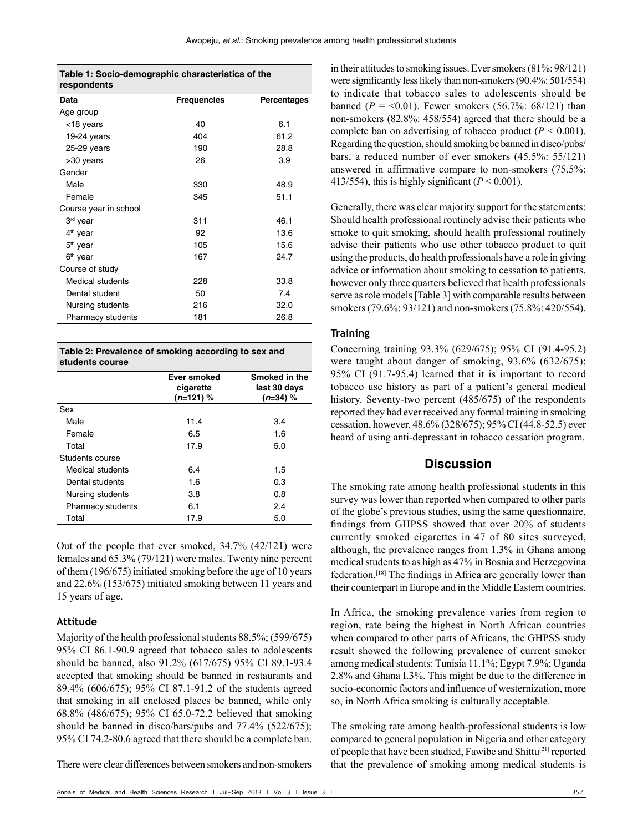| Table 1: Socio-demographic characteristics of the |  |
|---------------------------------------------------|--|
| respondents                                       |  |

| Data                  | <b>Frequencies</b> | Percentages |
|-----------------------|--------------------|-------------|
| Age group             |                    |             |
| <18 years             | 40                 | 6.1         |
| $19-24$ years         | 404                | 61.2        |
| $25-29$ years         | 190                | 28.8        |
| >30 years             | 26                 | 3.9         |
| Gender                |                    |             |
| Male                  | 330                | 48.9        |
| Female                | 345                | 51.1        |
| Course year in school |                    |             |
| 3 <sup>rd</sup> year  | 311                | 46.1        |
| $4th$ year            | 92                 | 13.6        |
| 5 <sup>th</sup> year  | 105                | 15.6        |
| 6 <sup>th</sup> year  | 167                | 24.7        |
| Course of study       |                    |             |
| Medical students      | 228                | 33.8        |
| Dental student        | 50                 | 7.4         |
| Nursing students      | 216                | 32.0        |
| Pharmacy students     | 181                | 26.8        |
|                       |                    |             |

| Table 2: Prevalence of smoking according to sex and<br>students course |                                         |                                             |  |  |
|------------------------------------------------------------------------|-----------------------------------------|---------------------------------------------|--|--|
|                                                                        | Ever smoked<br>cigarette<br>$(n=121)$ % | Smoked in the<br>last 30 days<br>$(n=34)$ % |  |  |
| Sex                                                                    |                                         |                                             |  |  |
| Male                                                                   | 11.4                                    | 3.4                                         |  |  |
| Female                                                                 | 6.5                                     | 1.6                                         |  |  |
| Total                                                                  | 17.9                                    | 5.0                                         |  |  |
| Students course                                                        |                                         |                                             |  |  |
| Medical students                                                       | 6.4                                     | 1.5                                         |  |  |
| Dental students                                                        | 1.6                                     | 0.3                                         |  |  |
| Nursing students                                                       | 3.8                                     | 0.8                                         |  |  |
| <b>Pharmacy students</b>                                               | 6.1                                     | 2.4                                         |  |  |
| Total                                                                  | 17.9                                    | 5.0                                         |  |  |

Out of the people that ever smoked, 34.7% (42/121) were females and 65.3% (79/121) were males. Twenty nine percent of them (196/675) initiated smoking before the age of 10 years and 22.6% (153/675) initiated smoking between 11 years and 15 years of age.

#### **Attitude**

Majority of the health professional students 88.5%; (599/675) 95% CI 86.1‑90.9 agreed that tobacco sales to adolescents should be banned, also 91.2% (617/675) 95% CI 89.1‑93.4 accepted that smoking should be banned in restaurants and 89.4% (606/675); 95% CI 87.1‑91.2 of the students agreed that smoking in all enclosed places be banned, while only 68.8% (486/675); 95% CI 65.0‑72.2 believed that smoking should be banned in disco/bars/pubs and 77.4% (522/675); 95% CI 74.2‑80.6 agreed that there should be a complete ban.

There were clear differences between smokers and non‑smokers

in their attitudes to smoking issues. Ever smokers (81%: 98/121) were significantly less likely than non-smokers (90.4%: 501/554) to indicate that tobacco sales to adolescents should be banned ( $P = 0.01$ ). Fewer smokers (56.7%: 68/121) than non‑smokers (82.8%: 458/554) agreed that there should be a complete ban on advertising of tobacco product  $(P < 0.001)$ . Regarding the question, should smoking be banned in disco/pubs/ bars, a reduced number of ever smokers (45.5%: 55/121) answered in affirmative compare to non‑smokers (75.5%: 413/554), this is highly significant  $(P < 0.001)$ .

Generally, there was clear majority support for the statements: Should health professional routinely advise their patients who smoke to quit smoking, should health professional routinely advise their patients who use other tobacco product to quit using the products, do health professionals have a role in giving advice or information about smoking to cessation to patients, however only three quarters believed that health professionals serve as role models [Table 3] with comparable results between smokers (79.6%: 93/121) and non-smokers (75.8%: 420/554).

#### **Training**

Concerning training 93.3% (629/675); 95% CI (91.4‑95.2) were taught about danger of smoking, 93.6% (632/675); 95% CI (91.7‑95.4) learned that it is important to record tobacco use history as part of a patient's general medical history. Seventy-two percent (485/675) of the respondents reported they had ever received any formal training in smoking cessation, however, 48.6% (328/675); 95% CI (44.8‑52.5) ever heard of using anti-depressant in tobacco cessation program.

#### **Discussion**

The smoking rate among health professional students in this survey was lower than reported when compared to other parts of the globe's previous studies, using the same questionnaire, findings from GHPSS showed that over 20% of students currently smoked cigarettes in 47 of 80 sites surveyed, although, the prevalence ranges from 1.3% in Ghana among medical students to as high as 47% in Bosnia and Herzegovina federation.[18] The findings in Africa are generally lower than their counterpart in Europe and in the Middle Eastern countries.

In Africa, the smoking prevalence varies from region to region, rate being the highest in North African countries when compared to other parts of Africans, the GHPSS study result showed the following prevalence of current smoker among medical students: Tunisia 11.1%; Egypt 7.9%; Uganda 2.8% and Ghana I.3%. This might be due to the difference in socio-economic factors and influence of westernization, more so, in North Africa smoking is culturally acceptable.

The smoking rate among health-professional students is low compared to general population in Nigeria and other category of people that have been studied, Fawibe and Shittu<sup>[21]</sup> reported that the prevalence of smoking among medical students is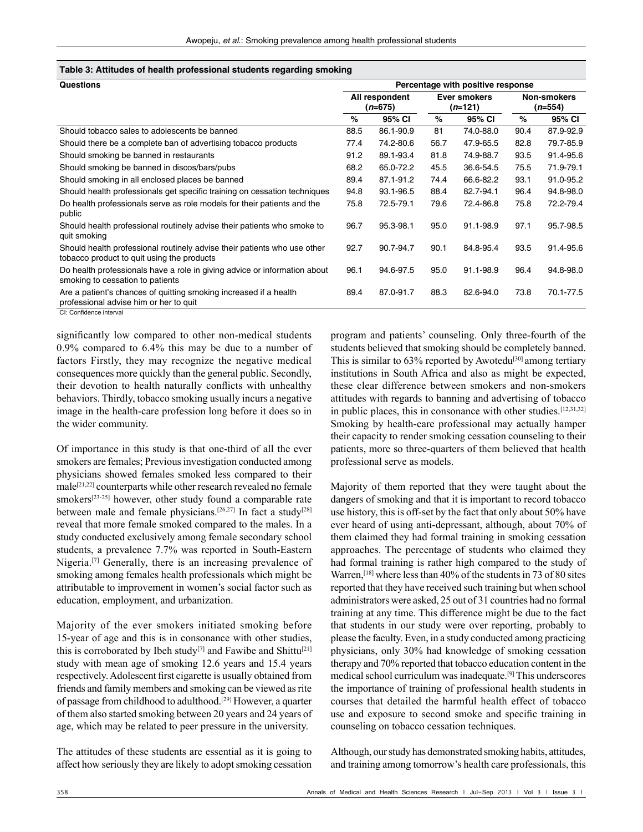| Table 3: Attitudes of health professional students regarding smoking |  |  |  |  |
|----------------------------------------------------------------------|--|--|--|--|
|----------------------------------------------------------------------|--|--|--|--|

| <b>Questions</b>                                                                                                       |                             | Percentage with positive response |                                  |           |                                        |           |  |
|------------------------------------------------------------------------------------------------------------------------|-----------------------------|-----------------------------------|----------------------------------|-----------|----------------------------------------|-----------|--|
|                                                                                                                        | All respondent<br>$(n=675)$ |                                   | Ever smokers<br>( <i>n</i> =121) |           | <b>Non-smokers</b><br>( <i>n</i> =554) |           |  |
|                                                                                                                        | $\%$                        | 95% CI                            | %                                | 95% CI    | %                                      | 95% CI    |  |
| Should tobacco sales to adolescents be banned                                                                          | 88.5                        | 86.1-90.9                         | 81                               | 74.0-88.0 | 90.4                                   | 87.9-92.9 |  |
| Should there be a complete ban of advertising tobacco products                                                         | 77.4                        | 74.2-80.6                         | 56.7                             | 47.9-65.5 | 82.8                                   | 79.7-85.9 |  |
| Should smoking be banned in restaurants                                                                                | 91.2                        | 89.1-93.4                         | 81.8                             | 74.9-88.7 | 93.5                                   | 91.4-95.6 |  |
| Should smoking be banned in discos/bars/pubs                                                                           | 68.2                        | 65.0-72.2                         | 45.5                             | 36.6-54.5 | 75.5                                   | 71.9-79.1 |  |
| Should smoking in all enclosed places be banned                                                                        | 89.4                        | 87.1-91.2                         | 74.4                             | 66.6-82.2 | 93.1                                   | 91.0-95.2 |  |
| Should health professionals get specific training on cessation techniques                                              | 94.8                        | 93.1-96.5                         | 88.4                             | 82.7-94.1 | 96.4                                   | 94.8-98.0 |  |
| Do health professionals serve as role models for their patients and the<br>public                                      | 75.8                        | 72.5-79.1                         | 79.6                             | 72.4-86.8 | 75.8                                   | 72.2-79.4 |  |
| Should health professional routinely advise their patients who smoke to<br>quit smoking                                | 96.7                        | 95.3-98.1                         | 95.0                             | 91.1-98.9 | 97.1                                   | 95.7-98.5 |  |
| Should health professional routinely advise their patients who use other<br>tobacco product to quit using the products | 92.7                        | 90.7-94.7                         | 90.1                             | 84.8-95.4 | 93.5                                   | 91.4-95.6 |  |
| Do health professionals have a role in giving advice or information about<br>smoking to cessation to patients          | 96.1                        | 94.6-97.5                         | 95.0                             | 91.1-98.9 | 96.4                                   | 94.8-98.0 |  |
| Are a patient's chances of quitting smoking increased if a health<br>professional advise him or her to quit            | 89.4                        | 87.0-91.7                         | 88.3                             | 82.6-94.0 | 73.8                                   | 70.1-77.5 |  |

CI: Confidence interval

significantly low compared to other non-medical students 0.9% compared to 6.4% this may be due to a number of factors Firstly, they may recognize the negative medical consequences more quickly than the general public. Secondly, their devotion to health naturally conflicts with unhealthy behaviors. Thirdly, tobacco smoking usually incurs a negative image in the health-care profession long before it does so in the wider community.

Of importance in this study is that one‑third of all the ever smokers are females; Previous investigation conducted among physicians showed females smoked less compared to their male[21,22] counterparts while other research revealed no female smokers<sup>[23-25]</sup> however, other study found a comparable rate between male and female physicians.<sup>[26,27]</sup> In fact a study<sup>[28]</sup> reveal that more female smoked compared to the males. In a study conducted exclusively among female secondary school students, a prevalence 7.7% was reported in South-Eastern Nigeria.[7] Generally, there is an increasing prevalence of smoking among females health professionals which might be attributable to improvement in women's social factor such as education, employment, and urbanization.

Majority of the ever smokers initiated smoking before 15‑year of age and this is in consonance with other studies, this is corroborated by Ibeh study<sup>[7]</sup> and Fawibe and Shittu<sup>[21]</sup> study with mean age of smoking 12.6 years and 15.4 years respectively. Adolescent first cigarette is usually obtained from friends and family members and smoking can be viewed as rite of passage from childhood to adulthood.[29] However, a quarter of them also started smoking between 20 years and 24 years of age, which may be related to peer pressure in the university.

The attitudes of these students are essential as it is going to affect how seriously they are likely to adopt smoking cessation program and patients' counseling. Only three‑fourth of the students believed that smoking should be completely banned. This is similar to  $63\%$  reported by Awotedu<sup>[30]</sup> among tertiary institutions in South Africa and also as might be expected, these clear difference between smokers and non‑smokers attitudes with regards to banning and advertising of tobacco in public places, this in consonance with other studies.[12,31,32] Smoking by health-care professional may actually hamper their capacity to render smoking cessation counseling to their patients, more so three‑quarters of them believed that health professional serve as models.

Majority of them reported that they were taught about the dangers of smoking and that it is important to record tobacco use history, this is off-set by the fact that only about 50% have ever heard of using anti-depressant, although, about 70% of them claimed they had formal training in smoking cessation approaches. The percentage of students who claimed they had formal training is rather high compared to the study of Warren,<sup>[18]</sup> where less than 40% of the students in 73 of 80 sites reported that they have received such training but when school administrators were asked, 25 out of 31 countries had no formal training at any time. This difference might be due to the fact that students in our study were over reporting, probably to please the faculty. Even, in a study conducted among practicing physicians, only 30% had knowledge of smoking cessation therapy and 70% reported that tobacco education content in the medical school curriculum was inadequate.[9] This underscores the importance of training of professional health students in courses that detailed the harmful health effect of tobacco use and exposure to second smoke and specific training in counseling on tobacco cessation techniques.

Although, our study has demonstrated smoking habits, attitudes, and training among tomorrow's health care professionals, this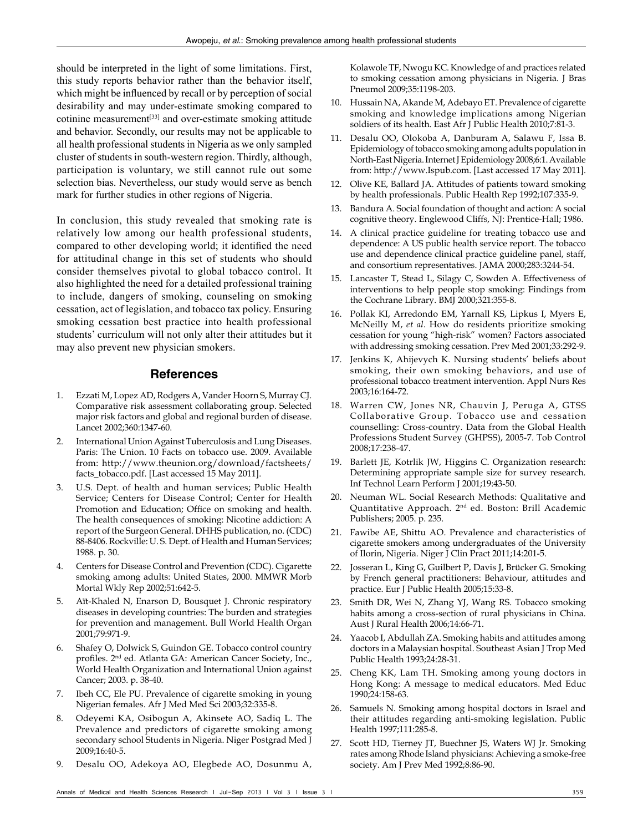should be interpreted in the light of some limitations. First, this study reports behavior rather than the behavior itself, which might be influenced by recall or by perception of social desirability and may under‑estimate smoking compared to cotinine measurement<sup>[33]</sup> and over-estimate smoking attitude and behavior. Secondly, our results may not be applicable to all health professional students in Nigeria as we only sampled cluster of students in south‑western region. Thirdly, although, participation is voluntary, we still cannot rule out some selection bias. Nevertheless, our study would serve as bench mark for further studies in other regions of Nigeria.

In conclusion, this study revealed that smoking rate is relatively low among our health professional students, compared to other developing world; it identified the need for attitudinal change in this set of students who should consider themselves pivotal to global tobacco control. It also highlighted the need for a detailed professional training to include, dangers of smoking, counseling on smoking cessation, act of legislation, and tobacco tax policy. Ensuring smoking cessation best practice into health professional students' curriculum will not only alter their attitudes but it may also prevent new physician smokers.

#### **References**

- 1. Ezzati M, Lopez AD, Rodgers A, Vander Hoorn S, Murray CJ. Comparative risk assessment collaborating group. Selected major risk factors and global and regional burden of disease. Lancet 2002;360:1347‑60.
- 2. International Union Against Tuberculosis and Lung Diseases. Paris: The Union. 10 Facts on tobacco use. 2009. Available from: http://www.theunion.org/download/factsheets/ facts\_tobacco.pdf. [Last accessed 15 May 2011].
- 3. U.S. Dept. of health and human services; Public Health Service; Centers for Disease Control; Center for Health Promotion and Education; Office on smoking and health. The health consequences of smoking: Nicotine addiction: A report of the Surgeon General. DHHS publication, no. (CDC) 88‑8406. Rockville: U. S. Dept. of Health and Human Services; 1988. p. 30.
- 4. Centers for Disease Control and Prevention (CDC). Cigarette smoking among adults: United States, 2000. MMWR Morb Mortal Wkly Rep 2002;51:642‑5.
- 5. Aït‑Khaled N, Enarson D, Bousquet J. Chronic respiratory diseases in developing countries: The burden and strategies for prevention and management. Bull World Health Organ 2001;79:971‑9.
- 6. Shafey O, Dolwick S, Guindon GE. Tobacco control country profiles. 2nd ed. Atlanta GA: American Cancer Society, Inc., World Health Organization and International Union against Cancer; 2003. p. 38-40.
- 7. Ibeh CC, Ele PU. Prevalence of cigarette smoking in young Nigerian females. Afr J Med Med Sci 2003;32:335‑8.
- 8. Odeyemi KA, Osibogun A, Akinsete AO, Sadiq L. The Prevalence and predictors of cigarette smoking among secondary school Students in Nigeria. Niger Postgrad Med J 2009;16:40‑5.
- 9. Desalu OO, Adekoya AO, Elegbede AO, Dosunmu A,

Kolawole TF, Nwogu KC. Knowledge of and practices related to smoking cessation among physicians in Nigeria. J Bras Pneumol 2009;35:1198-203.

- 10. Hussain NA, Akande M, Adebayo ET. Prevalence of cigarette smoking and knowledge implications among Nigerian soldiers of its health. East Afr J Public Health 2010;7:81-3.
- 11. Desalu OO, Olokoba A, Danburam A, Salawu F, Issa B. Epidemiology of tobacco smoking among adults population in North‑East Nigeria. Internet J Epidemiology 2008;6:1. Available from: http://www.Ispub.com. [Last accessed 17 May 2011].
- 12. Olive KE, Ballard JA. Attitudes of patients toward smoking by health professionals. Public Health Rep 1992;107:335‑9.
- 13. Bandura A. Social foundation of thought and action: A social cognitive theory. Englewood Cliffs, NJ: Prentice-Hall; 1986.
- 14. A clinical practice guideline for treating tobacco use and dependence: A US public health service report. The tobacco use and dependence clinical practice guideline panel, staff, and consortium representatives. JAMA 2000;283:3244‑54.
- 15. Lancaster T, Stead L, Silagy C, Sowden A. Effectiveness of interventions to help people stop smoking: Findings from the Cochrane Library. BMJ 2000;321:355‑8.
- 16. Pollak KI, Arredondo EM, Yarnall KS, Lipkus I, Myers E, McNeilly M, *et al*. How do residents prioritize smoking cessation for young "high-risk" women? Factors associated with addressing smoking cessation. Prev Med 2001;33:292‑9.
- 17. Jenkins K, Ahijevych K. Nursing students' beliefs about smoking, their own smoking behaviors, and use of professional tobacco treatment intervention. Appl Nurs Res 2003;16:164‑72.
- 18. Warren CW, Jones NR, Chauvin J, Peruga A, GTSS Collaborative Group. Tobacco use and cessation counselling: Cross‑country. Data from the Global Health Professions Student Survey (GHPSS), 2005‑7. Tob Control 2008;17:238‑47.
- 19. Barlett JE, Kotrlik JW, Higgins C. Organization research: Determining appropriate sample size for survey research. Inf Technol Learn Perform J 2001;19:43‑50.
- 20. Neuman WL. Social Research Methods: Qualitative and Quantitative Approach. 2nd ed. Boston: Brill Academic Publishers; 2005. p. 235.
- 21. Fawibe AE, Shittu AO. Prevalence and characteristics of cigarette smokers among undergraduates of the University of Ilorin, Nigeria. Niger J Clin Pract 2011;14:201-5.
- 22. Josseran L, King G, Guilbert P, Davis J, Brücker G. Smoking by French general practitioners: Behaviour, attitudes and practice. Eur J Public Health 2005;15:33‑8.
- 23. Smith DR, Wei N, Zhang YJ, Wang RS. Tobacco smoking habits among a cross-section of rural physicians in China. Aust J Rural Health 2006;14:66‑71.
- 24. Yaacob I, Abdullah ZA. Smoking habits and attitudes among doctors in a Malaysian hospital. Southeast Asian J Trop Med Public Health 1993;24:28‑31.
- 25. Cheng KK, Lam TH. Smoking among young doctors in Hong Kong: A message to medical educators. Med Educ 1990;24:158‑63.
- 26. Samuels N. Smoking among hospital doctors in Israel and their attitudes regarding anti‑smoking legislation. Public Health 1997;111:285-8.
- 27. Scott HD, Tierney JT, Buechner JS, Waters WJ Jr. Smoking rates among Rhode Island physicians: Achieving a smoke-free society. Am J Prev Med 1992;8:86‑90.